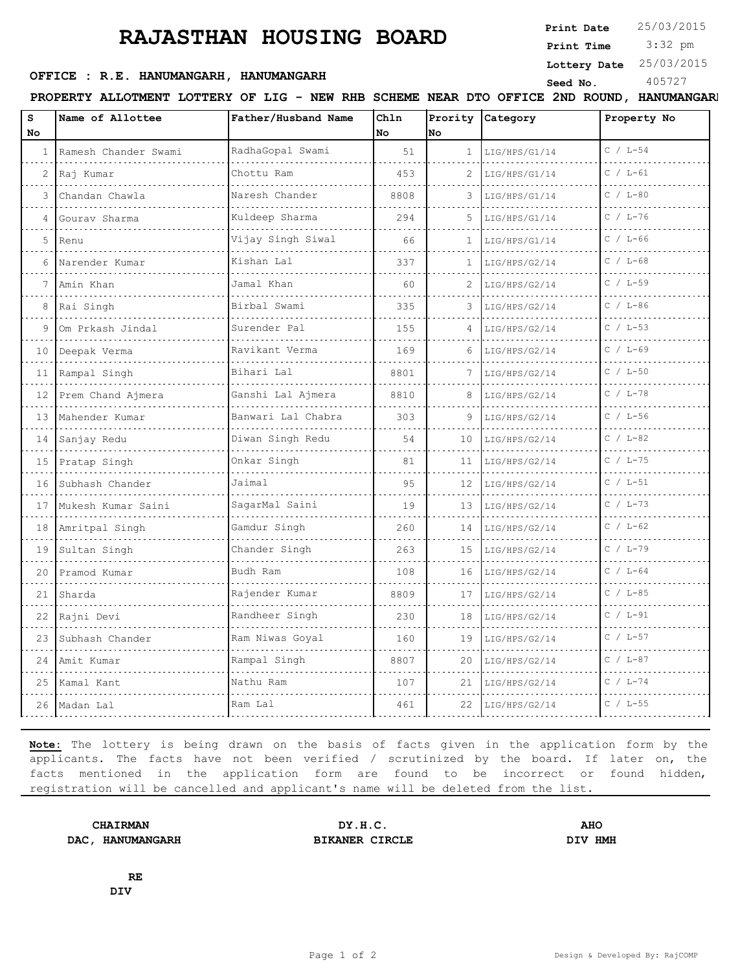# **RAJASTHAN HOUSING BOARD**

**Print Date**  $25/03/2015$ 

 3:32 pm **Print Time**

#### **Lottery Date** 25/03/2015

## **OFFICE : R.E. HANUMANGARH, HANUMANGARH** Seed No. 405727

**PROPERTY ALLOTMENT LOTTERY OF LIG - NEW RHB SCHEME NEAR DTO OFFICE 2ND ROUND, HANUMANGARH**

| s<br>No         | Name of Allottee     | Father/Husband Name     | Chln<br>No | Prority<br>lNo. | Category           | Property No  |
|-----------------|----------------------|-------------------------|------------|-----------------|--------------------|--------------|
| 1               | Ramesh Chander Swami | RadhaGopal Swami<br>.   | 51         | $\mathbf{1}$    | LIG/HPS/G1/14<br>. | $C / L - 54$ |
| 2               | Raj Kumar            | Chottu Ram              | 453        | 2               | LIG/HPS/G1/14      | $C / L - 61$ |
| 3               | Chandan Chawla       | Naresh Chander          | 8808       | 3               | LIG/HPS/G1/14      | $C / L - 80$ |
|                 | Gouray Sharma        | Kuldeep Sharma          | 294        | 5               | LIG/HPS/G1/14      | $C / L - 76$ |
| 5               | Renu                 | .<br>Vijay Singh Siwal  | 66         | 1               | LIG/HPS/G1/14      | $C / L - 66$ |
| 6               | Narender Kumar       | Kishan Lal              | 337        | 1               | LIG/HPS/G2/14      | $C / L - 68$ |
|                 | Amin Khan            | Jamal Khan              | 60         | 2               | LIG/HPS/G2/14      | $C / L - 59$ |
| 8               | Rai Singh            | Birbal Swami            | 335        | 3               | LIG/HPS/G2/14      | $C / L - 86$ |
| 9               | Om Prkash Jindal     | Surender Pal            | 155        | 4               | LIG/HPS/G2/14      | $C / L - 53$ |
| 10              | Deepak Verma         | Ravikant Verma<br>.     | 169        |                 | LIG/HPS/G2/14      | $C / L - 69$ |
| 11              | Rampal Singh         | Bihari Lal              | 8801       |                 | LIG/HPS/G2/14      | $C / L - 50$ |
| 12 <sup>°</sup> | Prem Chand Ajmera    | Ganshi Lal Ajmera       | 8810       | 8               | LIG/HPS/G2/14      | $C / L - 78$ |
| 1.3             | Mahender Kumar       | Banwari Lal Chabra<br>. | 303        | 9               | LIG/HPS/G2/14      | $C / L - 56$ |
|                 | 14 Sanjay Redu       | Diwan Singh Redu        | 54         | 10              | LIG/HPS/G2/14      | $C / L - 82$ |
| 15              | Pratap Singh         | Onkar Singh             | 81         | 11              | LIG/HPS/G2/14      | $C / L - 75$ |
| 16              | Subhash Chander      | Jaimal                  | 95         | 12              | LIG/HPS/G2/14      | $C / L - 51$ |
| 17              | Mukesh Kumar Saini   | SagarMal Saini          | 19         | 13              | LIG/HPS/G2/14      | $C / L - 73$ |
| 18              | Amritpal Singh       | Gamdur Singh            | 260        | 14              | LIG/HPS/G2/14      | $C / L - 62$ |
| 19              | Sultan Singh         | Chander Singh           | 263        | 15              | LIG/HPS/G2/14      | $C / L - 79$ |
| 20              | Pramod Kumar         | Budh Ram                | 108        | 16              | LIG/HPS/G2/14      | $C / L - 64$ |
| 21              | Sharda               | Rajender Kumar          | 8809       | 17              | LIG/HPS/G2/14      | $C / L - 85$ |
|                 | 22 Rajni Devi        | Randheer Singh          | 230        | 18              | LIG/HPS/G2/14      | $C / L - 91$ |
| 23              | Subhash Chander      | Ram Niwas Goyal         | 160        | 19              | LIG/HPS/G2/14      | $C / L - 57$ |
| 24              | Amit Kumar           | Rampal Singh            | 8807       | 20              | LIG/HPS/G2/14      | $C / L - 87$ |
|                 | 25 Kamal Kant        | Nathu Ram               | 107        | 21              | LIG/HPS/G2/14      | $C / L - 74$ |
|                 | 26 Madan Lal         | Ram Lal                 | 461        | 22              | LIG/HPS/G2/14      | $C / L - 55$ |

**Note:** The lottery is being drawn on the basis of facts given in the application form by the applicants. The facts have not been verified / scrutinized by the board. If later on, the facts mentioned in the application form are found to be incorrect or found hidden, registration will be cancelled and applicant's name will be deleted from the list.

**DAC, HANUMANGARH BIKANER CIRCLE DIV HMH**

**CHAIRMAN DY.H.C. AHO**

**RE DIV**